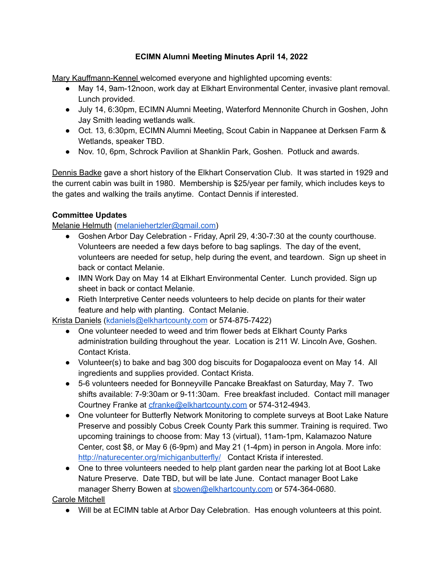## **ECIMN Alumni Meeting Minutes April 14, 2022**

Mary Kauffmann-Kennel welcomed everyone and highlighted upcoming events:

- May 14, 9am-12noon, work day at Elkhart Environmental Center, invasive plant removal. Lunch provided.
- July 14, 6:30pm, ECIMN Alumni Meeting, Waterford Mennonite Church in Goshen, John Jay Smith leading wetlands walk.
- Oct. 13, 6:30pm, ECIMN Alumni Meeting, Scout Cabin in Nappanee at Derksen Farm & Wetlands, speaker TBD.
- Nov. 10, 6pm, Schrock Pavilion at Shanklin Park, Goshen. Potluck and awards.

Dennis Badke gave a short history of the Elkhart Conservation Club. It was started in 1929 and the current cabin was built in 1980. Membership is \$25/year per family, which includes keys to the gates and walking the trails anytime. Contact Dennis if interested.

## **Committee Updates**

Melanie Helmuth [\(melaniehertzler@gmail.com\)](mailto:melaniehertzler@gmail.com)

- Goshen Arbor Day Celebration Friday, April 29, 4:30-7:30 at the county courthouse. Volunteers are needed a few days before to bag saplings. The day of the event, volunteers are needed for setup, help during the event, and teardown. Sign up sheet in back or contact Melanie.
- IMN Work Day on May 14 at Elkhart Environmental Center. Lunch provided. Sign up sheet in back or contact Melanie.
- Rieth Interpretive Center needs volunteers to help decide on plants for their water feature and help with planting. Contact Melanie.

Krista Daniels ([kdaniels@elkhartcounty.com](mailto:kdaniels@elkhartcounty.com) or 574-875-7422)

- One volunteer needed to weed and trim flower beds at Elkhart County Parks administration building throughout the year. Location is 211 W. Lincoln Ave, Goshen. Contact Krista.
- Volunteer(s) to bake and bag 300 dog biscuits for Dogapalooza event on May 14. All ingredients and supplies provided. Contact Krista.
- 5-6 volunteers needed for Bonneyville Pancake Breakfast on Saturday, May 7. Two shifts available: 7-9:30am or 9-11:30am. Free breakfast included. Contact mill manager Courtney Franke at [cfranke@elkhartcounty.com](mailto:cfranke@elkhartcounty.com) or 574-312-4943.
- One volunteer for Butterfly Network Monitoring to complete surveys at Boot Lake Nature Preserve and possibly Cobus Creek County Park this summer. Training is required. Two upcoming trainings to choose from: May 13 (virtual), 11am-1pm, Kalamazoo Nature Center, cost \$8, or May 6 (6-9pm) and May 21 (1-4pm) in person in Angola. More info: <http://naturecenter.org/michiganbutterfly/> Contact Krista if interested.
- One to three volunteers needed to help plant garden near the parking lot at Boot Lake Nature Preserve. Date TBD, but will be late June. Contact manager Boot Lake manager Sherry Bowen at [sbowen@elkhartcounty.com](mailto:sbowen@elkhartcounty.com) or 574-364-0680.

Carole Mitchell

● Will be at ECIMN table at Arbor Day Celebration. Has enough volunteers at this point.